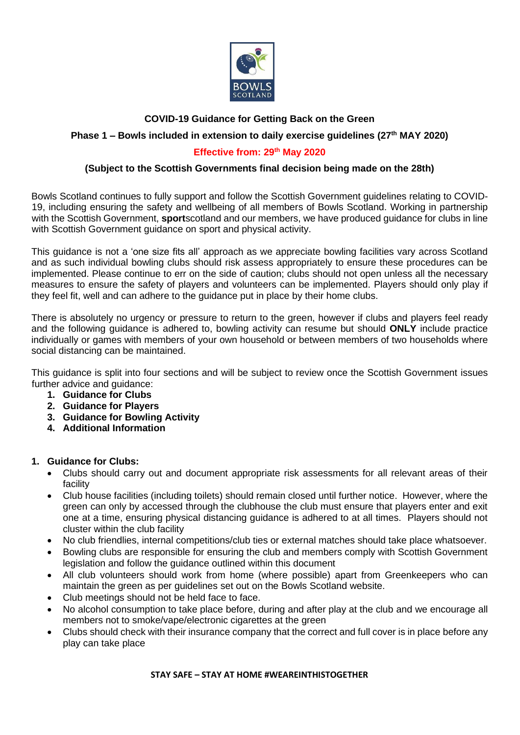

# **COVID-19 Guidance for Getting Back on the Green**

## **Phase 1 – Bowls included in extension to daily exercise guidelines (27 th MAY 2020)**

### **Effective from: 29<sup>th</sup> May 2020**

## **(Subject to the Scottish Governments final decision being made on the 28th)**

Bowls Scotland continues to fully support and follow the Scottish Government guidelines relating to COVID-19, including ensuring the safety and wellbeing of all members of Bowls Scotland. Working in partnership with the Scottish Government, **sport**scotland and our members, we have produced guidance for clubs in line with Scottish Government guidance on sport and physical activity.

This guidance is not a 'one size fits all' approach as we appreciate bowling facilities vary across Scotland and as such individual bowling clubs should risk assess appropriately to ensure these procedures can be implemented. Please continue to err on the side of caution; clubs should not open unless all the necessary measures to ensure the safety of players and volunteers can be implemented. Players should only play if they feel fit, well and can adhere to the guidance put in place by their home clubs.

There is absolutely no urgency or pressure to return to the green, however if clubs and players feel ready and the following guidance is adhered to, bowling activity can resume but should **ONLY** include practice individually or games with members of your own household or between members of two households where social distancing can be maintained.

This guidance is split into four sections and will be subject to review once the Scottish Government issues further advice and guidance:

- **1. Guidance for Clubs**
- **2. Guidance for Players**
- **3. Guidance for Bowling Activity**
- **4. Additional Information**

#### **1. Guidance for Clubs:**

- Clubs should carry out and document appropriate risk assessments for all relevant areas of their facility
- Club house facilities (including toilets) should remain closed until further notice. However, where the green can only by accessed through the clubhouse the club must ensure that players enter and exit one at a time, ensuring physical distancing guidance is adhered to at all times. Players should not cluster within the club facility
- No club friendlies, internal competitions/club ties or external matches should take place whatsoever.
- Bowling clubs are responsible for ensuring the club and members comply with Scottish Government legislation and follow the guidance outlined within this document
- All club volunteers should work from home (where possible) apart from Greenkeepers who can maintain the green as per guidelines set out on the Bowls Scotland website.
- Club meetings should not be held face to face.
- No alcohol consumption to take place before, during and after play at the club and we encourage all members not to smoke/vape/electronic cigarettes at the green
- Clubs should check with their insurance company that the correct and full cover is in place before any play can take place

#### **STAY SAFE – STAY AT HOME #WEAREINTHISTOGETHER**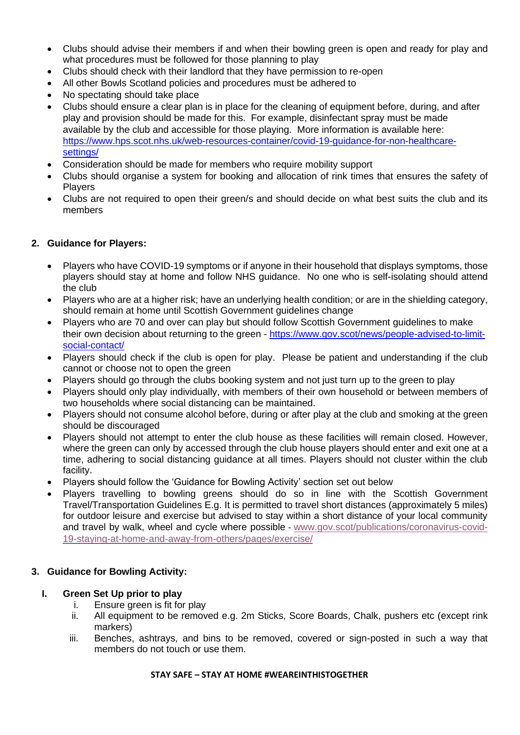- Clubs should advise their members if and when their bowling green is open and ready for play and what procedures must be followed for those planning to play
- Clubs should check with their landlord that they have permission to re-open
- All other Bowls Scotland policies and procedures must be adhered to
- No spectating should take place
- Clubs should ensure a clear plan is in place for the cleaning of equipment before, during, and after play and provision should be made for this. For example, disinfectant spray must be made available by the club and accessible for those playing. More information is available here: [https://www.hps.scot.nhs.uk/web-resources-container/covid-19-guidance-for-non-healthcare](https://www.hps.scot.nhs.uk/web-resources-container/covid-19-guidance-for-non-healthcare-settings/)[settings/](https://www.hps.scot.nhs.uk/web-resources-container/covid-19-guidance-for-non-healthcare-settings/)
- Consideration should be made for members who require mobility support
- Clubs should organise a system for booking and allocation of rink times that ensures the safety of Players
- Clubs are not required to open their green/s and should decide on what best suits the club and its members

#### **2. Guidance for Players:**

- Players who have COVID-19 symptoms or if anyone in their household that displays symptoms, those players should stay at home and follow NHS guidance. No one who is self-isolating should attend the club
- Players who are at a higher risk; have an underlying health condition; or are in the shielding category, should remain at home until Scottish Government guidelines change
- Players who are 70 and over can play but should follow Scottish Government guidelines to make their own decision about returning to the green - [https://www.gov.scot/news/people-advised-to-limit](https://www.gov.scot/news/people-advised-to-limit-social-contact/)[social-contact/](https://www.gov.scot/news/people-advised-to-limit-social-contact/)
- Players should check if the club is open for play. Please be patient and understanding if the club cannot or choose not to open the green
- Players should go through the clubs booking system and not just turn up to the green to play
- Players should only play individually, with members of their own household or between members of two households where social distancing can be maintained.
- Players should not consume alcohol before, during or after play at the club and smoking at the green should be discouraged
- Players should not attempt to enter the club house as these facilities will remain closed. However, where the green can only by accessed through the club house players should enter and exit one at a time, adhering to social distancing guidance at all times. Players should not cluster within the club facility.
- Players should follow the 'Guidance for Bowling Activity' section set out below
- Players travelling to bowling greens should do so in line with the Scottish Government Travel/Transportation Guidelines E.g. It is permitted to travel short distances (approximately 5 miles) for outdoor leisure and exercise but advised to stay within a short distance of your local community and travel by walk, wheel and cycle where possible - [www.gov.scot/publications/coronavirus-covid-](http://www.gov.scot/publications/coronavirus-covid-19-staying-at-home-and-away-from-others/pages/exercise/)[19-staying-at-home-and-away-from-others/pages/exercise/](http://www.gov.scot/publications/coronavirus-covid-19-staying-at-home-and-away-from-others/pages/exercise/)

#### **3. Guidance for Bowling Activity:**

#### **I. Green Set Up prior to play**

- i. Ensure green is fit for play
- ii. All equipment to be removed e.g. 2m Sticks, Score Boards, Chalk, pushers etc (except rink markers)
- iii. Benches, ashtrays, and bins to be removed, covered or sign-posted in such a way that members do not touch or use them.

#### **STAY SAFE – STAY AT HOME #WEAREINTHISTOGETHER**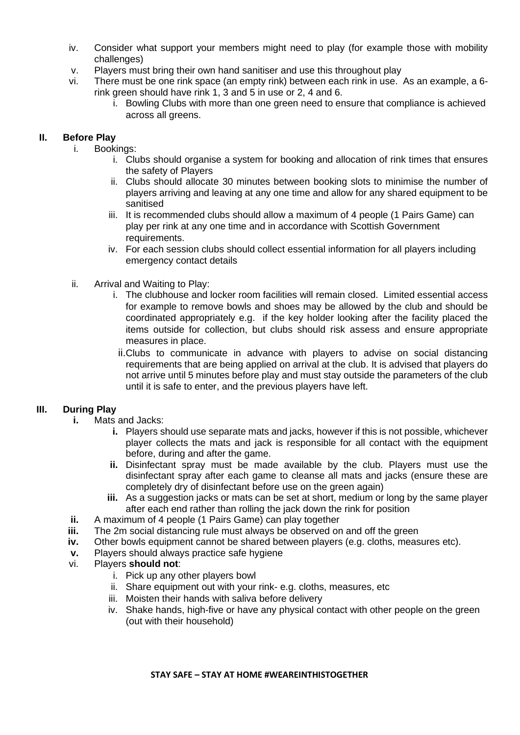- iv. Consider what support your members might need to play (for example those with mobility challenges)
- v. Players must bring their own hand sanitiser and use this throughout play
- vi. There must be one rink space (an empty rink) between each rink in use. As an example, a 6 rink green should have rink 1, 3 and 5 in use or 2, 4 and 6.
	- i. Bowling Clubs with more than one green need to ensure that compliance is achieved across all greens.

### **II. Before Play**

- i. Bookings:
	- i. Clubs should organise a system for booking and allocation of rink times that ensures the safety of Players
	- ii. Clubs should allocate 30 minutes between booking slots to minimise the number of players arriving and leaving at any one time and allow for any shared equipment to be sanitised
	- iii. It is recommended clubs should allow a maximum of 4 people (1 Pairs Game) can play per rink at any one time and in accordance with Scottish Government requirements.
	- iv. For each session clubs should collect essential information for all players including emergency contact details
- ii. Arrival and Waiting to Play:
	- i. The clubhouse and locker room facilities will remain closed. Limited essential access for example to remove bowls and shoes may be allowed by the club and should be coordinated appropriately e.g. if the key holder looking after the facility placed the items outside for collection, but clubs should risk assess and ensure appropriate measures in place.
	- ii.Clubs to communicate in advance with players to advise on social distancing requirements that are being applied on arrival at the club. It is advised that players do not arrive until 5 minutes before play and must stay outside the parameters of the club until it is safe to enter, and the previous players have left.

## **III. During Play**

- **i.** Mats and Jacks:
	- **i.** Players should use separate mats and jacks, however if this is not possible, whichever player collects the mats and jack is responsible for all contact with the equipment before, during and after the game.
	- **ii.** Disinfectant spray must be made available by the club. Players must use the disinfectant spray after each game to cleanse all mats and jacks (ensure these are completely dry of disinfectant before use on the green again)
	- **iii.** As a suggestion jacks or mats can be set at short, medium or long by the same player after each end rather than rolling the jack down the rink for position
- **ii.** A maximum of 4 people (1 Pairs Game) can play together<br>**iii.** The 2m social distancing rule must always be observed on
- **iii.** The 2m social distancing rule must always be observed on and off the green
- **iv.** Other bowls equipment cannot be shared between players (e.g. cloths, measures etc).
- **v.** Players should always practice safe hygiene
- vi. Players **should not**:
	- i. Pick up any other players bowl
	- ii. Share equipment out with your rink- e.g. cloths, measures, etc
	- iii. Moisten their hands with saliva before delivery
	- iv. Shake hands, high-five or have any physical contact with other people on the green (out with their household)